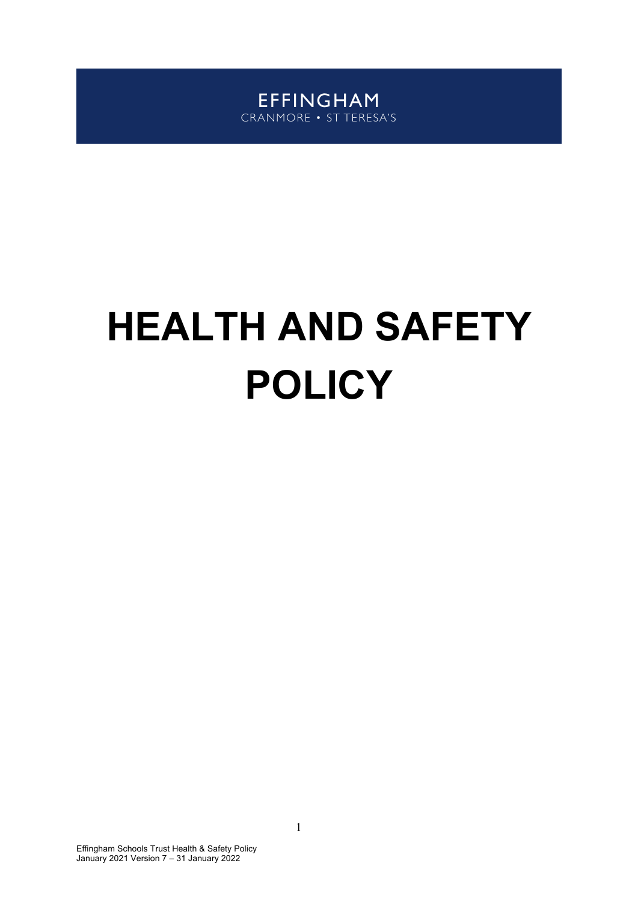EFFINGHAM CRANMORE • ST TERESA'S

# **HEALTH AND SAFETY POLICY**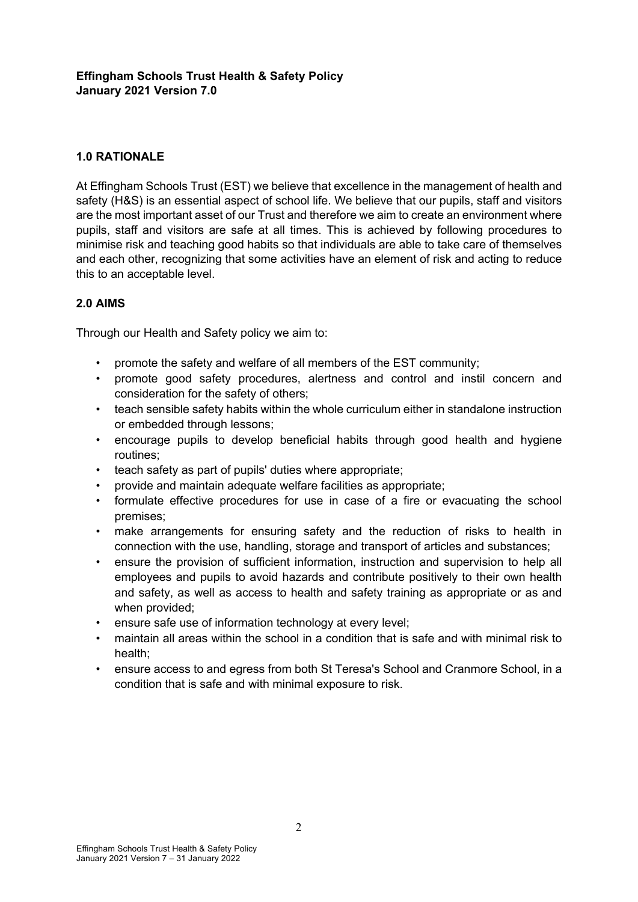# **1.0 RATIONALE**

At Effingham Schools Trust (EST) we believe that excellence in the management of health and safety (H&S) is an essential aspect of school life. We believe that our pupils, staff and visitors are the most important asset of our Trust and therefore we aim to create an environment where pupils, staff and visitors are safe at all times. This is achieved by following procedures to minimise risk and teaching good habits so that individuals are able to take care of themselves and each other, recognizing that some activities have an element of risk and acting to reduce this to an acceptable level.

# **2.0 AIMS**

Through our Health and Safety policy we aim to:

- promote the safety and welfare of all members of the EST community;
- promote good safety procedures, alertness and control and instil concern and consideration for the safety of others;
- teach sensible safety habits within the whole curriculum either in standalone instruction or embedded through lessons;
- encourage pupils to develop beneficial habits through good health and hygiene routines;
- teach safety as part of pupils' duties where appropriate;
- provide and maintain adequate welfare facilities as appropriate;
- formulate effective procedures for use in case of a fire or evacuating the school premises;
- make arrangements for ensuring safety and the reduction of risks to health in connection with the use, handling, storage and transport of articles and substances;
- ensure the provision of sufficient information, instruction and supervision to help all employees and pupils to avoid hazards and contribute positively to their own health and safety, as well as access to health and safety training as appropriate or as and when provided;
- ensure safe use of information technology at every level;
- maintain all areas within the school in a condition that is safe and with minimal risk to health;
- ensure access to and egress from both St Teresa's School and Cranmore School, in a condition that is safe and with minimal exposure to risk.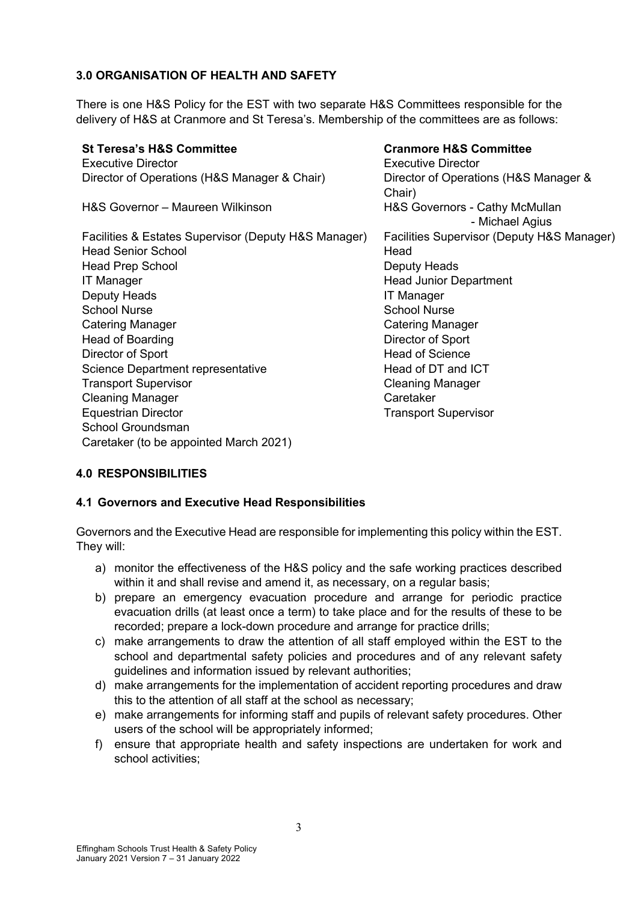# **3.0 ORGANISATION OF HEALTH AND SAFETY**

There is one H&S Policy for the EST with two separate H&S Committees responsible for the delivery of H&S at Cranmore and St Teresa's. Membership of the committees are as follows:

| <b>St Teresa's H&amp;S Committee</b>                 | <b>Cranmore H&amp;S Committee</b>                 |
|------------------------------------------------------|---------------------------------------------------|
| <b>Executive Director</b>                            | <b>Executive Director</b>                         |
| Director of Operations (H&S Manager & Chair)         | Director of Operations (H&S Manager &<br>Chair)   |
| H&S Governor - Maureen Wilkinson                     | H&S Governors - Cathy McMullan<br>- Michael Agius |
| Facilities & Estates Supervisor (Deputy H&S Manager) | Facilities Supervisor (Deputy H&S Manager)        |
| <b>Head Senior School</b>                            | Head                                              |
| <b>Head Prep School</b>                              | Deputy Heads                                      |
| <b>IT Manager</b>                                    | <b>Head Junior Department</b>                     |
| Deputy Heads                                         | <b>IT Manager</b>                                 |
| <b>School Nurse</b>                                  | <b>School Nurse</b>                               |
| <b>Catering Manager</b>                              | <b>Catering Manager</b>                           |
| <b>Head of Boarding</b>                              | Director of Sport                                 |
| Director of Sport                                    | <b>Head of Science</b>                            |
| Science Department representative                    | Head of DT and ICT                                |
| <b>Transport Supervisor</b>                          | <b>Cleaning Manager</b>                           |
| <b>Cleaning Manager</b>                              | Caretaker                                         |
| <b>Equestrian Director</b>                           | <b>Transport Supervisor</b>                       |
| School Groundsman                                    |                                                   |
| Caretaker (to be appointed March 2021)               |                                                   |

# **4.0 RESPONSIBILITIES**

# **4.1 Governors and Executive Head Responsibilities**

Governors and the Executive Head are responsible for implementing this policy within the EST. They will:

- a) monitor the effectiveness of the H&S policy and the safe working practices described within it and shall revise and amend it, as necessary, on a regular basis;
- b) prepare an emergency evacuation procedure and arrange for periodic practice evacuation drills (at least once a term) to take place and for the results of these to be recorded; prepare a lock-down procedure and arrange for practice drills;
- c) make arrangements to draw the attention of all staff employed within the EST to the school and departmental safety policies and procedures and of any relevant safety guidelines and information issued by relevant authorities;
- d) make arrangements for the implementation of accident reporting procedures and draw this to the attention of all staff at the school as necessary;
- e) make arrangements for informing staff and pupils of relevant safety procedures. Other users of the school will be appropriately informed;
- f) ensure that appropriate health and safety inspections are undertaken for work and school activities;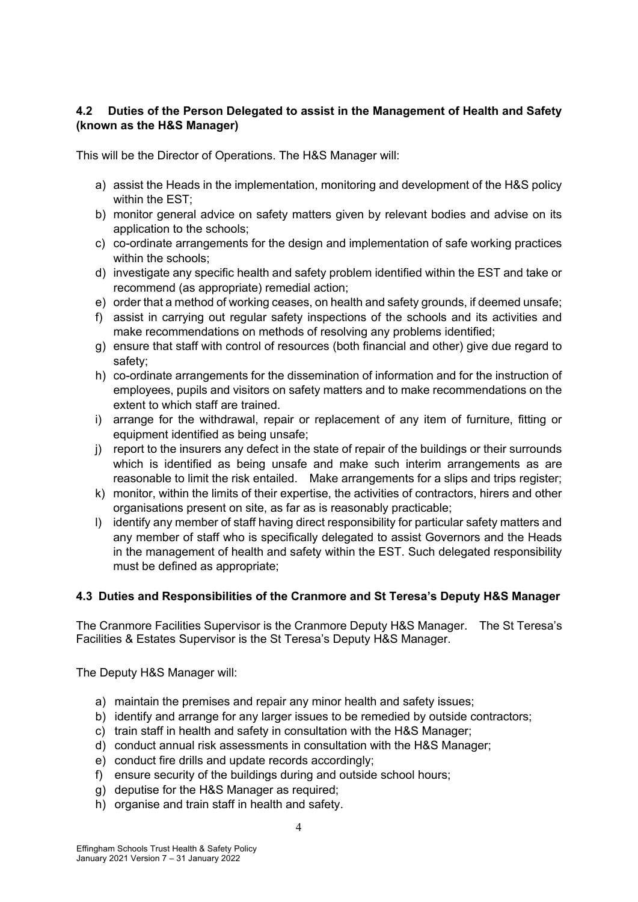# **4.2 Duties of the Person Delegated to assist in the Management of Health and Safety (known as the H&S Manager)**

This will be the Director of Operations. The H&S Manager will:

- a) assist the Heads in the implementation, monitoring and development of the H&S policy within the EST;
- b) monitor general advice on safety matters given by relevant bodies and advise on its application to the schools;
- c) co-ordinate arrangements for the design and implementation of safe working practices within the schools;
- d) investigate any specific health and safety problem identified within the EST and take or recommend (as appropriate) remedial action;
- e) order that a method of working ceases, on health and safety grounds, if deemed unsafe;
- f) assist in carrying out regular safety inspections of the schools and its activities and make recommendations on methods of resolving any problems identified;
- g) ensure that staff with control of resources (both financial and other) give due regard to safety;
- h) co-ordinate arrangements for the dissemination of information and for the instruction of employees, pupils and visitors on safety matters and to make recommendations on the extent to which staff are trained.
- i) arrange for the withdrawal, repair or replacement of any item of furniture, fitting or equipment identified as being unsafe;
- j) report to the insurers any defect in the state of repair of the buildings or their surrounds which is identified as being unsafe and make such interim arrangements as are reasonable to limit the risk entailed. Make arrangements for a slips and trips register;
- k) monitor, within the limits of their expertise, the activities of contractors, hirers and other organisations present on site, as far as is reasonably practicable;
- l) identify any member of staff having direct responsibility for particular safety matters and any member of staff who is specifically delegated to assist Governors and the Heads in the management of health and safety within the EST. Such delegated responsibility must be defined as appropriate;

# **4.3 Duties and Responsibilities of the Cranmore and St Teresa's Deputy H&S Manager**

The Cranmore Facilities Supervisor is the Cranmore Deputy H&S Manager. The St Teresa's Facilities & Estates Supervisor is the St Teresa's Deputy H&S Manager.

The Deputy H&S Manager will:

- a) maintain the premises and repair any minor health and safety issues;
- b) identify and arrange for any larger issues to be remedied by outside contractors;
- c) train staff in health and safety in consultation with the H&S Manager;
- d) conduct annual risk assessments in consultation with the H&S Manager;
- e) conduct fire drills and update records accordingly;
- f) ensure security of the buildings during and outside school hours;
- g) deputise for the H&S Manager as required;
- h) organise and train staff in health and safety.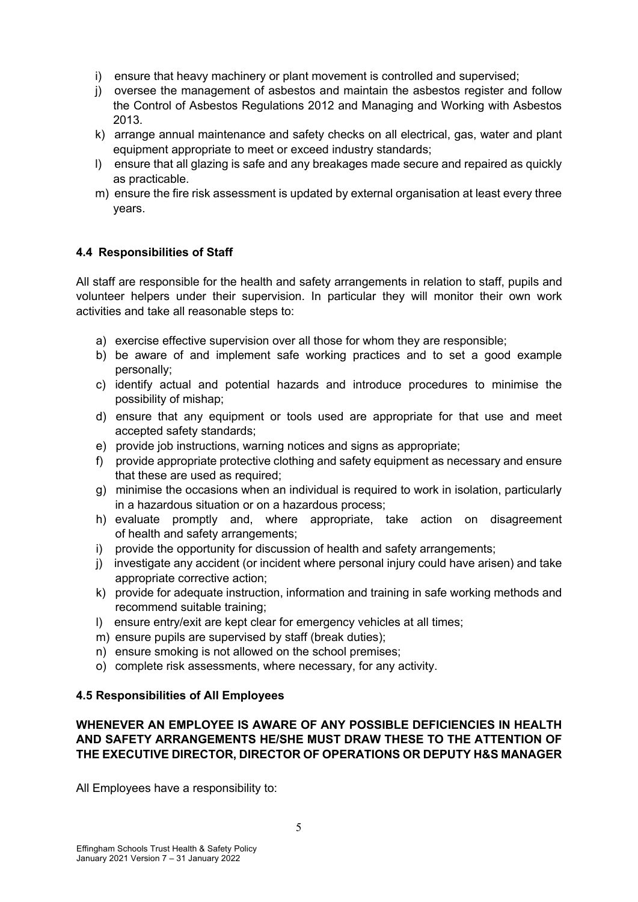- i) ensure that heavy machinery or plant movement is controlled and supervised;
- j) oversee the management of asbestos and maintain the asbestos register and follow the Control of Asbestos Regulations 2012 and Managing and Working with Asbestos 2013.
- k) arrange annual maintenance and safety checks on all electrical, gas, water and plant equipment appropriate to meet or exceed industry standards;
- l) ensure that all glazing is safe and any breakages made secure and repaired as quickly as practicable.
- m) ensure the fire risk assessment is updated by external organisation at least every three years.

# **4.4 Responsibilities of Staff**

All staff are responsible for the health and safety arrangements in relation to staff, pupils and volunteer helpers under their supervision. In particular they will monitor their own work activities and take all reasonable steps to:

- a) exercise effective supervision over all those for whom they are responsible;
- b) be aware of and implement safe working practices and to set a good example personally;
- c) identify actual and potential hazards and introduce procedures to minimise the possibility of mishap;
- d) ensure that any equipment or tools used are appropriate for that use and meet accepted safety standards;
- e) provide job instructions, warning notices and signs as appropriate;
- f) provide appropriate protective clothing and safety equipment as necessary and ensure that these are used as required;
- g) minimise the occasions when an individual is required to work in isolation, particularly in a hazardous situation or on a hazardous process;
- h) evaluate promptly and, where appropriate, take action on disagreement of health and safety arrangements;
- i) provide the opportunity for discussion of health and safety arrangements:
- j) investigate any accident (or incident where personal injury could have arisen) and take appropriate corrective action;
- k) provide for adequate instruction, information and training in safe working methods and recommend suitable training;
- l) ensure entry/exit are kept clear for emergency vehicles at all times;
- m) ensure pupils are supervised by staff (break duties);
- n) ensure smoking is not allowed on the school premises;
- o) complete risk assessments, where necessary, for any activity.

#### **4.5 Responsibilities of All Employees**

#### **WHENEVER AN EMPLOYEE IS AWARE OF ANY POSSIBLE DEFICIENCIES IN HEALTH AND SAFETY ARRANGEMENTS HE/SHE MUST DRAW THESE TO THE ATTENTION OF THE EXECUTIVE DIRECTOR, DIRECTOR OF OPERATIONS OR DEPUTY H&S MANAGER**

All Employees have a responsibility to: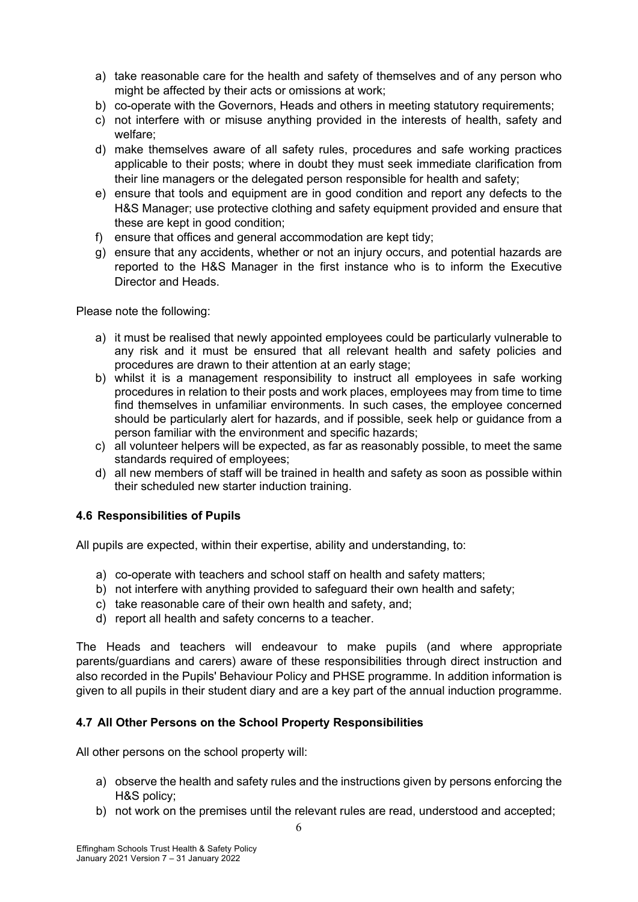- a) take reasonable care for the health and safety of themselves and of any person who might be affected by their acts or omissions at work;
- b) co-operate with the Governors, Heads and others in meeting statutory requirements;
- c) not interfere with or misuse anything provided in the interests of health, safety and welfare;
- d) make themselves aware of all safety rules, procedures and safe working practices applicable to their posts; where in doubt they must seek immediate clarification from their line managers or the delegated person responsible for health and safety;
- e) ensure that tools and equipment are in good condition and report any defects to the H&S Manager; use protective clothing and safety equipment provided and ensure that these are kept in good condition;
- f) ensure that offices and general accommodation are kept tidy;
- g) ensure that any accidents, whether or not an injury occurs, and potential hazards are reported to the H&S Manager in the first instance who is to inform the Executive Director and Heads.

Please note the following:

- a) it must be realised that newly appointed employees could be particularly vulnerable to any risk and it must be ensured that all relevant health and safety policies and procedures are drawn to their attention at an early stage;
- b) whilst it is a management responsibility to instruct all employees in safe working procedures in relation to their posts and work places, employees may from time to time find themselves in unfamiliar environments. In such cases, the employee concerned should be particularly alert for hazards, and if possible, seek help or guidance from a person familiar with the environment and specific hazards;
- c) all volunteer helpers will be expected, as far as reasonably possible, to meet the same standards required of employees;
- d) all new members of staff will be trained in health and safety as soon as possible within their scheduled new starter induction training.

# **4.6 Responsibilities of Pupils**

All pupils are expected, within their expertise, ability and understanding, to:

- a) co-operate with teachers and school staff on health and safety matters;
- b) not interfere with anything provided to safeguard their own health and safety;
- c) take reasonable care of their own health and safety, and;
- d) report all health and safety concerns to a teacher.

The Heads and teachers will endeavour to make pupils (and where appropriate parents/guardians and carers) aware of these responsibilities through direct instruction and also recorded in the Pupils' Behaviour Policy and PHSE programme. In addition information is given to all pupils in their student diary and are a key part of the annual induction programme.

#### **4.7 All Other Persons on the School Property Responsibilities**

All other persons on the school property will:

- a) observe the health and safety rules and the instructions given by persons enforcing the H&S policy;
- b) not work on the premises until the relevant rules are read, understood and accepted;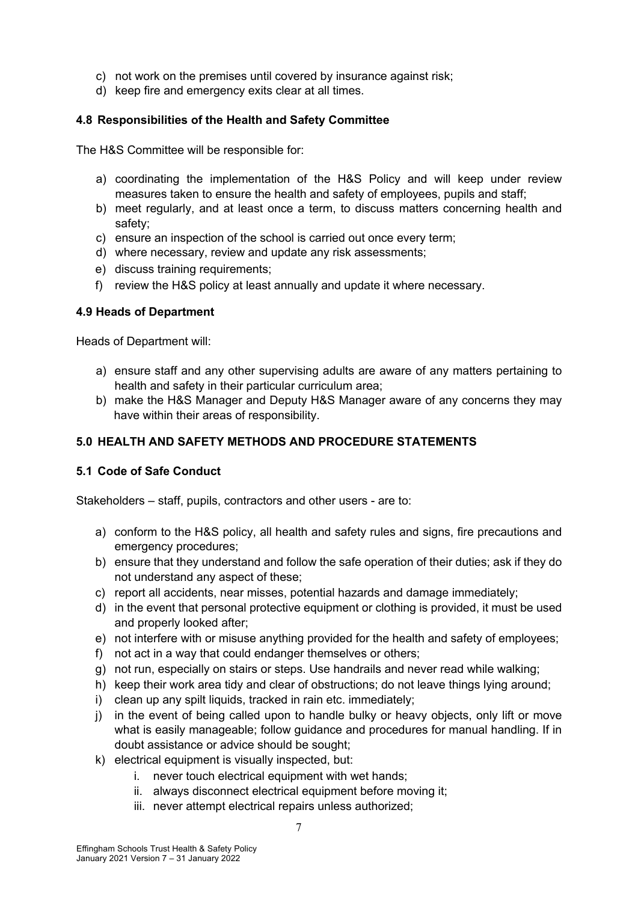- c) not work on the premises until covered by insurance against risk;
- d) keep fire and emergency exits clear at all times.

# **4.8 Responsibilities of the Health and Safety Committee**

The H&S Committee will be responsible for:

- a) coordinating the implementation of the H&S Policy and will keep under review measures taken to ensure the health and safety of employees, pupils and staff;
- b) meet regularly, and at least once a term, to discuss matters concerning health and safety;
- c) ensure an inspection of the school is carried out once every term;
- d) where necessary, review and update any risk assessments;
- e) discuss training requirements;
- f) review the H&S policy at least annually and update it where necessary.

#### **4.9 Heads of Department**

Heads of Department will:

- a) ensure staff and any other supervising adults are aware of any matters pertaining to health and safety in their particular curriculum area;
- b) make the H&S Manager and Deputy H&S Manager aware of any concerns they may have within their areas of responsibility.

# **5.0 HEALTH AND SAFETY METHODS AND PROCEDURE STATEMENTS**

#### **5.1 Code of Safe Conduct**

Stakeholders – staff, pupils, contractors and other users - are to:

- a) conform to the H&S policy, all health and safety rules and signs, fire precautions and emergency procedures;
- b) ensure that they understand and follow the safe operation of their duties; ask if they do not understand any aspect of these;
- c) report all accidents, near misses, potential hazards and damage immediately;
- d) in the event that personal protective equipment or clothing is provided, it must be used and properly looked after;
- e) not interfere with or misuse anything provided for the health and safety of employees;
- f) not act in a way that could endanger themselves or others;
- g) not run, especially on stairs or steps. Use handrails and never read while walking;
- h) keep their work area tidy and clear of obstructions; do not leave things lying around;
- i) clean up any spilt liquids, tracked in rain etc. immediately:
- j) in the event of being called upon to handle bulky or heavy objects, only lift or move what is easily manageable; follow guidance and procedures for manual handling. If in doubt assistance or advice should be sought;
- k) electrical equipment is visually inspected, but:
	- i. never touch electrical equipment with wet hands;
	- ii. always disconnect electrical equipment before moving it;
	- iii. never attempt electrical repairs unless authorized;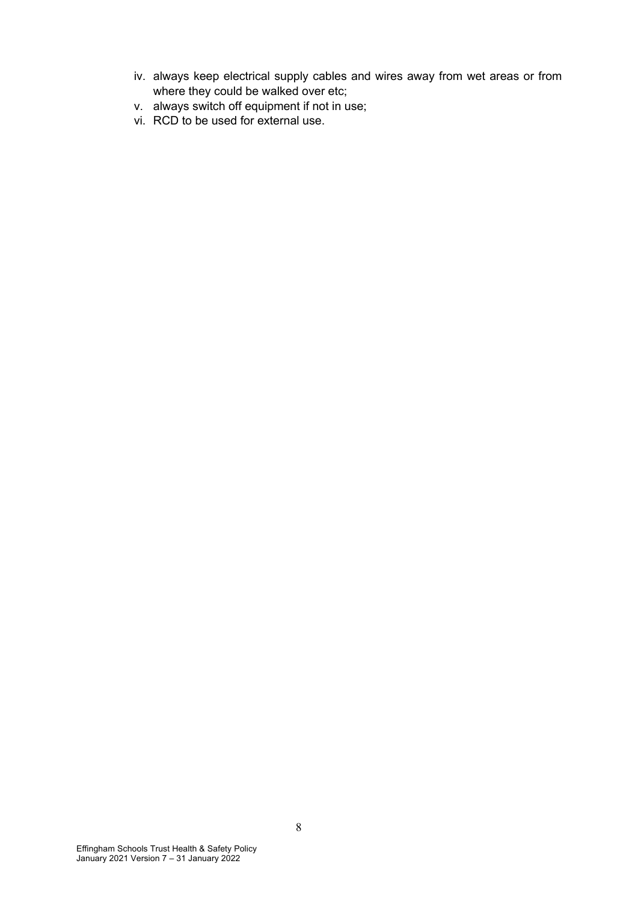- iv. always keep electrical supply cables and wires away from wet areas or from where they could be walked over etc;
- v. always switch off equipment if not in use;
- vi. RCD to be used for external use.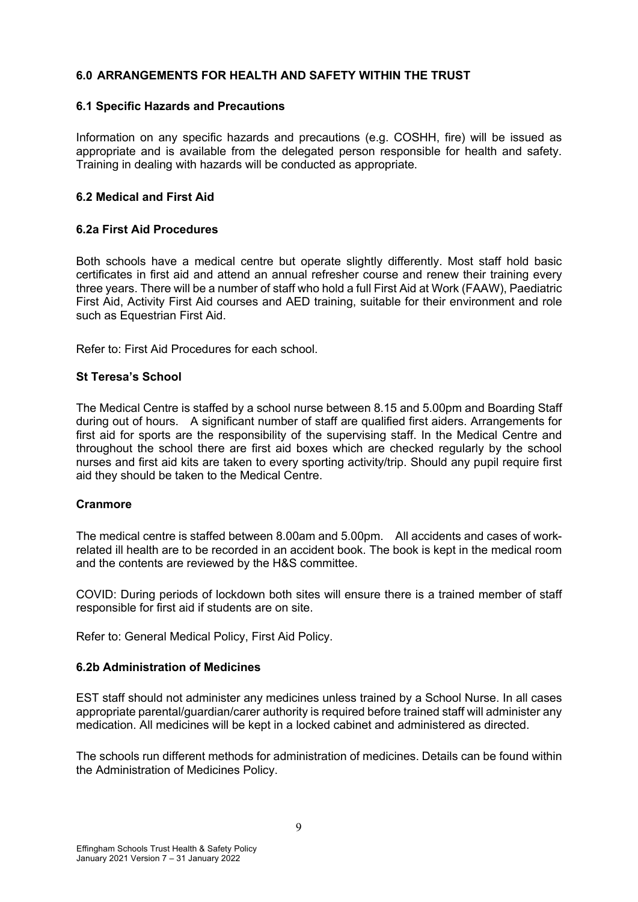# **6.0 ARRANGEMENTS FOR HEALTH AND SAFETY WITHIN THE TRUST**

#### **6.1 Specific Hazards and Precautions**

Information on any specific hazards and precautions (e.g. COSHH, fire) will be issued as appropriate and is available from the delegated person responsible for health and safety. Training in dealing with hazards will be conducted as appropriate.

#### **6.2 Medical and First Aid**

#### **6.2a First Aid Procedures**

Both schools have a medical centre but operate slightly differently. Most staff hold basic certificates in first aid and attend an annual refresher course and renew their training every three years. There will be a number of staff who hold a full First Aid at Work (FAAW), Paediatric First Aid, Activity First Aid courses and AED training, suitable for their environment and role such as Equestrian First Aid.

Refer to: First Aid Procedures for each school.

#### **St Teresa's School**

The Medical Centre is staffed by a school nurse between 8.15 and 5.00pm and Boarding Staff during out of hours. A significant number of staff are qualified first aiders. Arrangements for first aid for sports are the responsibility of the supervising staff. In the Medical Centre and throughout the school there are first aid boxes which are checked regularly by the school nurses and first aid kits are taken to every sporting activity/trip. Should any pupil require first aid they should be taken to the Medical Centre.

#### **Cranmore**

The medical centre is staffed between 8.00am and 5.00pm. All accidents and cases of workrelated ill health are to be recorded in an accident book. The book is kept in the medical room and the contents are reviewed by the H&S committee.

COVID: During periods of lockdown both sites will ensure there is a trained member of staff responsible for first aid if students are on site.

Refer to: General Medical Policy, First Aid Policy.

#### **6.2b Administration of Medicines**

EST staff should not administer any medicines unless trained by a School Nurse. In all cases appropriate parental/guardian/carer authority is required before trained staff will administer any medication. All medicines will be kept in a locked cabinet and administered as directed.

The schools run different methods for administration of medicines. Details can be found within the Administration of Medicines Policy.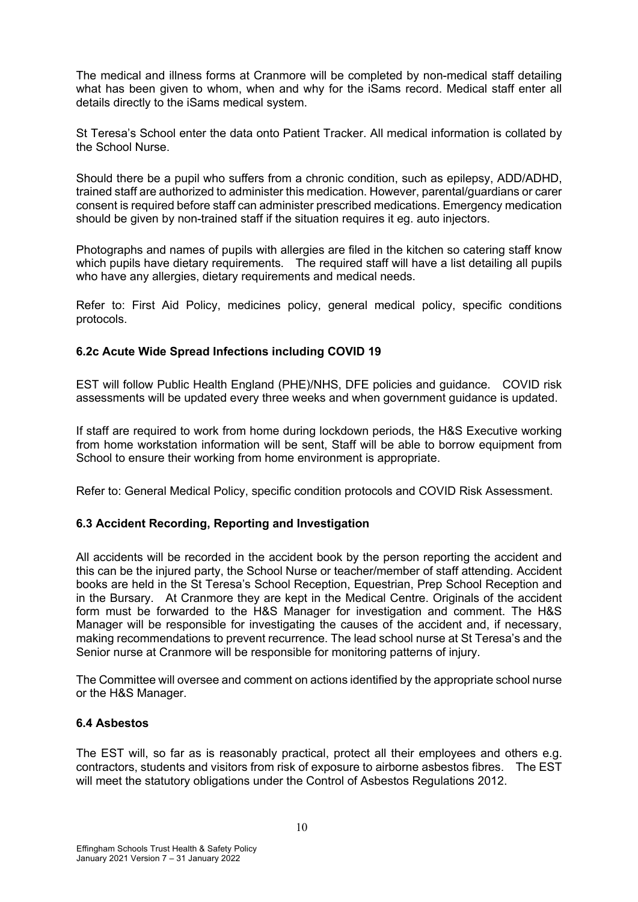The medical and illness forms at Cranmore will be completed by non-medical staff detailing what has been given to whom, when and why for the iSams record. Medical staff enter all details directly to the iSams medical system.

St Teresa's School enter the data onto Patient Tracker. All medical information is collated by the School Nurse.

Should there be a pupil who suffers from a chronic condition, such as epilepsy, ADD/ADHD, trained staff are authorized to administer this medication. However, parental/guardians or carer consent is required before staff can administer prescribed medications. Emergency medication should be given by non-trained staff if the situation requires it eg. auto injectors.

Photographs and names of pupils with allergies are filed in the kitchen so catering staff know which pupils have dietary requirements. The required staff will have a list detailing all pupils who have any allergies, dietary requirements and medical needs.

Refer to: First Aid Policy, medicines policy, general medical policy, specific conditions protocols.

# **6.2c Acute Wide Spread Infections including COVID 19**

EST will follow Public Health England (PHE)/NHS, DFE policies and guidance. COVID risk assessments will be updated every three weeks and when government guidance is updated.

If staff are required to work from home during lockdown periods, the H&S Executive working from home workstation information will be sent, Staff will be able to borrow equipment from School to ensure their working from home environment is appropriate.

Refer to: General Medical Policy, specific condition protocols and COVID Risk Assessment.

#### **6.3 Accident Recording, Reporting and Investigation**

All accidents will be recorded in the accident book by the person reporting the accident and this can be the injured party, the School Nurse or teacher/member of staff attending. Accident books are held in the St Teresa's School Reception, Equestrian, Prep School Reception and in the Bursary. At Cranmore they are kept in the Medical Centre. Originals of the accident form must be forwarded to the H&S Manager for investigation and comment. The H&S Manager will be responsible for investigating the causes of the accident and, if necessary, making recommendations to prevent recurrence. The lead school nurse at St Teresa's and the Senior nurse at Cranmore will be responsible for monitoring patterns of injury.

The Committee will oversee and comment on actions identified by the appropriate school nurse or the H&S Manager.

#### **6.4 Asbestos**

The EST will, so far as is reasonably practical, protect all their employees and others e.g. contractors, students and visitors from risk of exposure to airborne asbestos fibres. The EST will meet the statutory obligations under the Control of Asbestos Regulations 2012.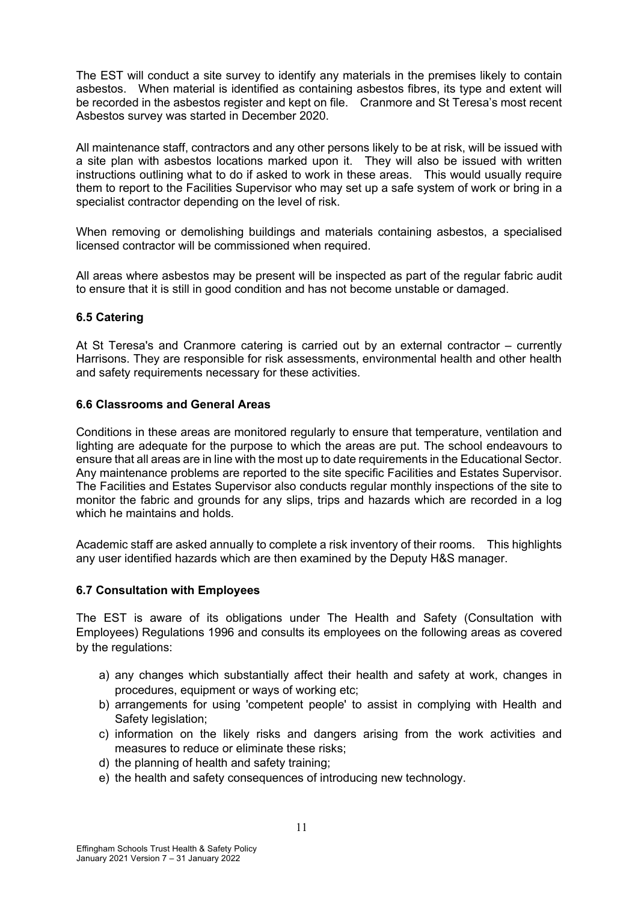The EST will conduct a site survey to identify any materials in the premises likely to contain asbestos. When material is identified as containing asbestos fibres, its type and extent will be recorded in the asbestos register and kept on file. Cranmore and St Teresa's most recent Asbestos survey was started in December 2020.

All maintenance staff, contractors and any other persons likely to be at risk, will be issued with a site plan with asbestos locations marked upon it. They will also be issued with written instructions outlining what to do if asked to work in these areas. This would usually require them to report to the Facilities Supervisor who may set up a safe system of work or bring in a specialist contractor depending on the level of risk.

When removing or demolishing buildings and materials containing asbestos, a specialised licensed contractor will be commissioned when required.

All areas where asbestos may be present will be inspected as part of the regular fabric audit to ensure that it is still in good condition and has not become unstable or damaged.

#### **6.5 Catering**

At St Teresa's and Cranmore catering is carried out by an external contractor – currently Harrisons. They are responsible for risk assessments, environmental health and other health and safety requirements necessary for these activities.

#### **6.6 Classrooms and General Areas**

Conditions in these areas are monitored regularly to ensure that temperature, ventilation and lighting are adequate for the purpose to which the areas are put. The school endeavours to ensure that all areas are in line with the most up to date requirements in the Educational Sector. Any maintenance problems are reported to the site specific Facilities and Estates Supervisor. The Facilities and Estates Supervisor also conducts regular monthly inspections of the site to monitor the fabric and grounds for any slips, trips and hazards which are recorded in a log which he maintains and holds.

Academic staff are asked annually to complete a risk inventory of their rooms. This highlights any user identified hazards which are then examined by the Deputy H&S manager.

#### **6.7 Consultation with Employees**

The EST is aware of its obligations under The Health and Safety (Consultation with Employees) Regulations 1996 and consults its employees on the following areas as covered by the regulations:

- a) any changes which substantially affect their health and safety at work, changes in procedures, equipment or ways of working etc;
- b) arrangements for using 'competent people' to assist in complying with Health and Safety legislation;
- c) information on the likely risks and dangers arising from the work activities and measures to reduce or eliminate these risks;
- d) the planning of health and safety training;
- e) the health and safety consequences of introducing new technology.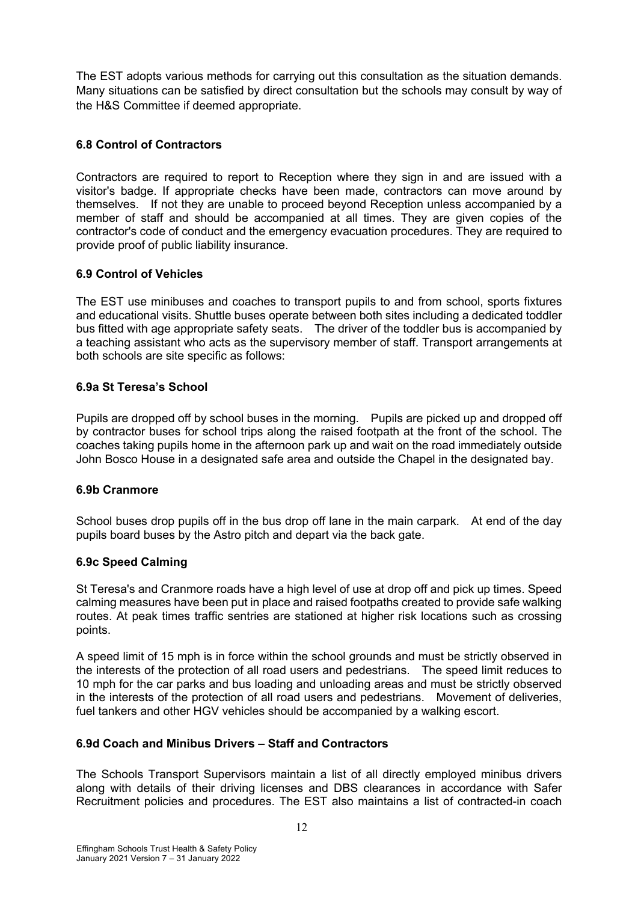The EST adopts various methods for carrying out this consultation as the situation demands. Many situations can be satisfied by direct consultation but the schools may consult by way of the H&S Committee if deemed appropriate.

# **6.8 Control of Contractors**

Contractors are required to report to Reception where they sign in and are issued with a visitor's badge. If appropriate checks have been made, contractors can move around by themselves. If not they are unable to proceed beyond Reception unless accompanied by a member of staff and should be accompanied at all times. They are given copies of the contractor's code of conduct and the emergency evacuation procedures. They are required to provide proof of public liability insurance.

# **6.9 Control of Vehicles**

The EST use minibuses and coaches to transport pupils to and from school, sports fixtures and educational visits. Shuttle buses operate between both sites including a dedicated toddler bus fitted with age appropriate safety seats. The driver of the toddler bus is accompanied by a teaching assistant who acts as the supervisory member of staff. Transport arrangements at both schools are site specific as follows:

# **6.9a St Teresa's School**

Pupils are dropped off by school buses in the morning. Pupils are picked up and dropped off by contractor buses for school trips along the raised footpath at the front of the school. The coaches taking pupils home in the afternoon park up and wait on the road immediately outside John Bosco House in a designated safe area and outside the Chapel in the designated bay.

# **6.9b Cranmore**

School buses drop pupils off in the bus drop off lane in the main carpark. At end of the day pupils board buses by the Astro pitch and depart via the back gate.

# **6.9c Speed Calming**

St Teresa's and Cranmore roads have a high level of use at drop off and pick up times. Speed calming measures have been put in place and raised footpaths created to provide safe walking routes. At peak times traffic sentries are stationed at higher risk locations such as crossing points.

A speed limit of 15 mph is in force within the school grounds and must be strictly observed in the interests of the protection of all road users and pedestrians. The speed limit reduces to 10 mph for the car parks and bus loading and unloading areas and must be strictly observed in the interests of the protection of all road users and pedestrians. Movement of deliveries, fuel tankers and other HGV vehicles should be accompanied by a walking escort.

# **6.9d Coach and Minibus Drivers – Staff and Contractors**

The Schools Transport Supervisors maintain a list of all directly employed minibus drivers along with details of their driving licenses and DBS clearances in accordance with Safer Recruitment policies and procedures. The EST also maintains a list of contracted-in coach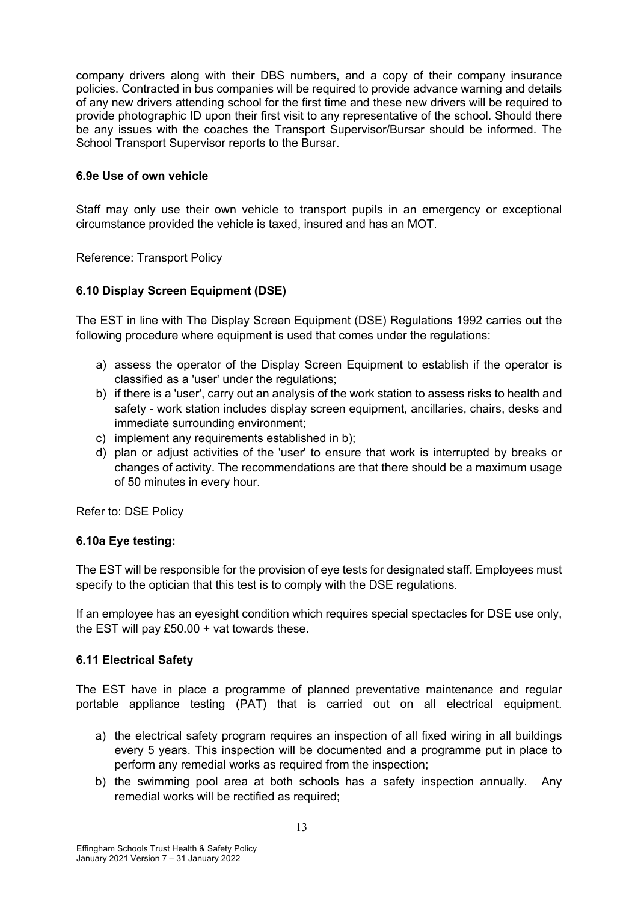company drivers along with their DBS numbers, and a copy of their company insurance policies. Contracted in bus companies will be required to provide advance warning and details of any new drivers attending school for the first time and these new drivers will be required to provide photographic ID upon their first visit to any representative of the school. Should there be any issues with the coaches the Transport Supervisor/Bursar should be informed. The School Transport Supervisor reports to the Bursar.

# **6.9e Use of own vehicle**

Staff may only use their own vehicle to transport pupils in an emergency or exceptional circumstance provided the vehicle is taxed, insured and has an MOT.

Reference: Transport Policy

# **6.10 Display Screen Equipment (DSE)**

The EST in line with The Display Screen Equipment (DSE) Regulations 1992 carries out the following procedure where equipment is used that comes under the regulations:

- a) assess the operator of the Display Screen Equipment to establish if the operator is classified as a 'user' under the regulations;
- b) if there is a 'user', carry out an analysis of the work station to assess risks to health and safety - work station includes display screen equipment, ancillaries, chairs, desks and immediate surrounding environment;
- c) implement any requirements established in b);
- d) plan or adjust activities of the 'user' to ensure that work is interrupted by breaks or changes of activity. The recommendations are that there should be a maximum usage of 50 minutes in every hour.

Refer to: DSE Policy

#### **6.10a Eye testing:**

The EST will be responsible for the provision of eye tests for designated staff. Employees must specify to the optician that this test is to comply with the DSE regulations.

If an employee has an eyesight condition which requires special spectacles for DSE use only, the EST will pay £50.00 + vat towards these.

#### **6.11 Electrical Safety**

The EST have in place a programme of planned preventative maintenance and regular portable appliance testing (PAT) that is carried out on all electrical equipment.

- a) the electrical safety program requires an inspection of all fixed wiring in all buildings every 5 years. This inspection will be documented and a programme put in place to perform any remedial works as required from the inspection;
- b) the swimming pool area at both schools has a safety inspection annually. Any remedial works will be rectified as required;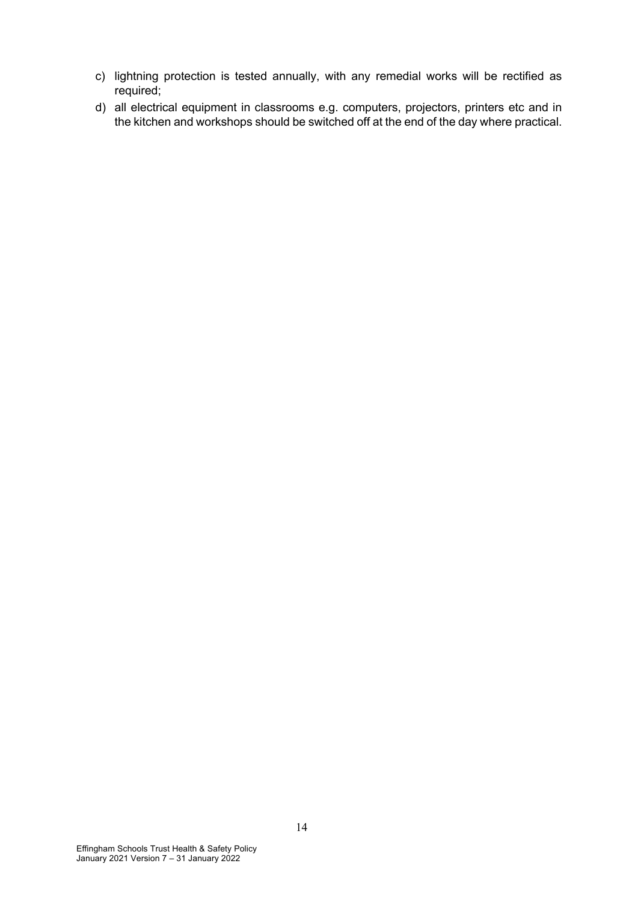- c) lightning protection is tested annually, with any remedial works will be rectified as required;
- d) all electrical equipment in classrooms e.g. computers, projectors, printers etc and in the kitchen and workshops should be switched off at the end of the day where practical.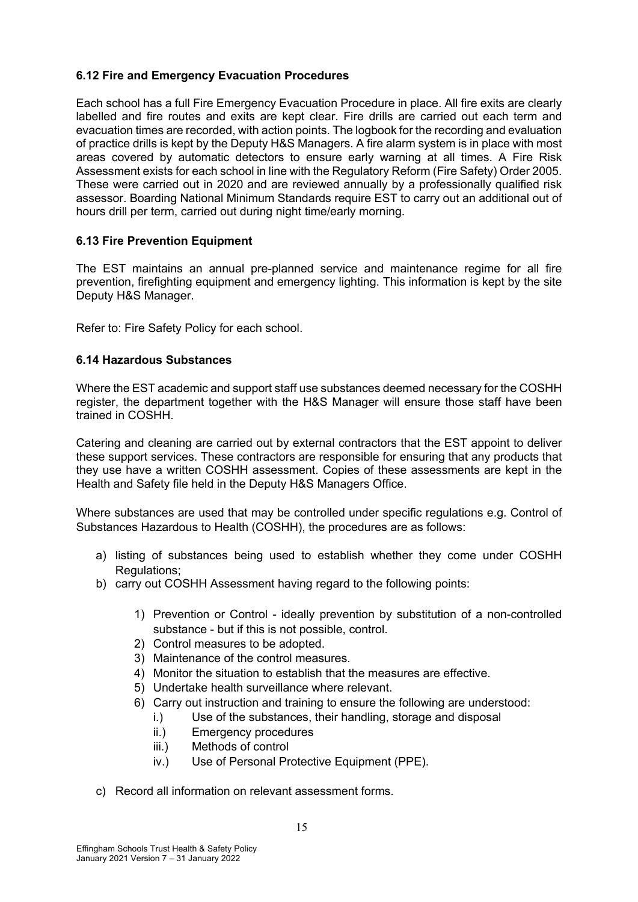# **6.12 Fire and Emergency Evacuation Procedures**

Each school has a full Fire Emergency Evacuation Procedure in place. All fire exits are clearly labelled and fire routes and exits are kept clear. Fire drills are carried out each term and evacuation times are recorded, with action points. The logbook for the recording and evaluation of practice drills is kept by the Deputy H&S Managers. A fire alarm system is in place with most areas covered by automatic detectors to ensure early warning at all times. A Fire Risk Assessment exists for each school in line with the Regulatory Reform (Fire Safety) Order 2005. These were carried out in 2020 and are reviewed annually by a professionally qualified risk assessor. Boarding National Minimum Standards require EST to carry out an additional out of hours drill per term, carried out during night time/early morning.

# **6.13 Fire Prevention Equipment**

The EST maintains an annual pre-planned service and maintenance regime for all fire prevention, firefighting equipment and emergency lighting. This information is kept by the site Deputy H&S Manager.

Refer to: Fire Safety Policy for each school.

#### **6.14 Hazardous Substances**

Where the EST academic and support staff use substances deemed necessary for the COSHH register, the department together with the H&S Manager will ensure those staff have been trained in COSHH.

Catering and cleaning are carried out by external contractors that the EST appoint to deliver these support services. These contractors are responsible for ensuring that any products that they use have a written COSHH assessment. Copies of these assessments are kept in the Health and Safety file held in the Deputy H&S Managers Office.

Where substances are used that may be controlled under specific regulations e.g. Control of Substances Hazardous to Health (COSHH), the procedures are as follows:

- a) listing of substances being used to establish whether they come under COSHH Regulations;
- b) carry out COSHH Assessment having regard to the following points:
	- 1) Prevention or Control ideally prevention by substitution of a non-controlled substance - but if this is not possible, control.
	- 2) Control measures to be adopted.
	- 3) Maintenance of the control measures.
	- 4) Monitor the situation to establish that the measures are effective.
	- 5) Undertake health surveillance where relevant.
	- 6) Carry out instruction and training to ensure the following are understood:
		- i.) Use of the substances, their handling, storage and disposal
		- ii.) Emergency procedures
		- iii.) Methods of control
		- iv.) Use of Personal Protective Equipment (PPE).
- c) Record all information on relevant assessment forms.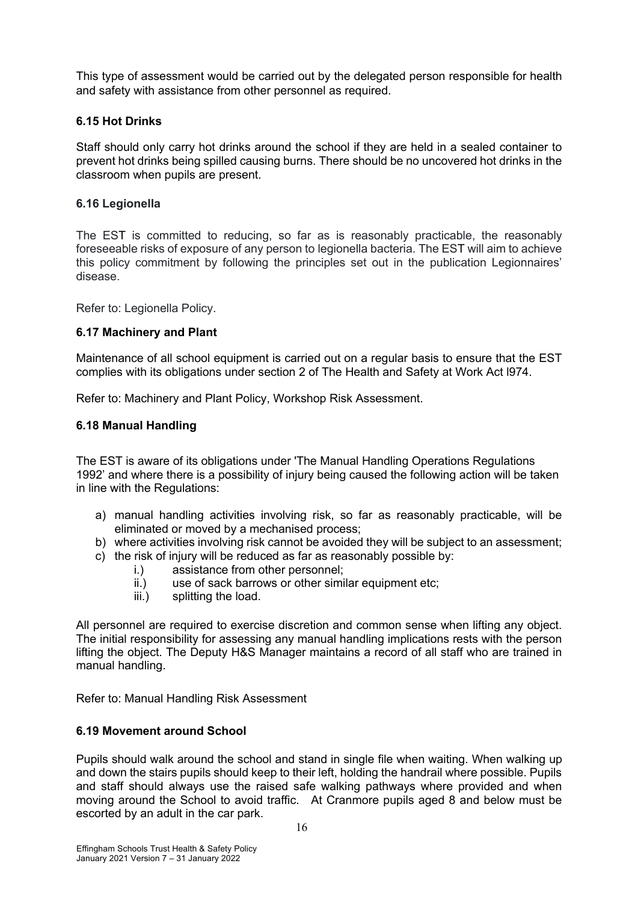This type of assessment would be carried out by the delegated person responsible for health and safety with assistance from other personnel as required.

#### **6.15 Hot Drinks**

Staff should only carry hot drinks around the school if they are held in a sealed container to prevent hot drinks being spilled causing burns. There should be no uncovered hot drinks in the classroom when pupils are present.

#### **6.16 Legionella**

The EST is committed to reducing, so far as is reasonably practicable, the reasonably foreseeable risks of exposure of any person to legionella bacteria. The EST will aim to achieve this policy commitment by following the principles set out in the publication Legionnaires' disease.

Refer to: Legionella Policy.

#### **6.17 Machinery and Plant**

Maintenance of all school equipment is carried out on a regular basis to ensure that the EST complies with its obligations under section 2 of The Health and Safety at Work Act l974.

Refer to: Machinery and Plant Policy, Workshop Risk Assessment.

#### **6.18 Manual Handling**

The EST is aware of its obligations under 'The Manual Handling Operations Regulations 1992' and where there is a possibility of injury being caused the following action will be taken in line with the Regulations:

- a) manual handling activities involving risk, so far as reasonably practicable, will be eliminated or moved by a mechanised process;
- b) where activities involving risk cannot be avoided they will be subject to an assessment;
- c) the risk of injury will be reduced as far as reasonably possible by:
	- i.) assistance from other personnel;
	- ii.) use of sack barrows or other similar equipment etc:
	- iii.) splitting the load.

All personnel are required to exercise discretion and common sense when lifting any object. The initial responsibility for assessing any manual handling implications rests with the person lifting the object. The Deputy H&S Manager maintains a record of all staff who are trained in manual handling.

Refer to: Manual Handling Risk Assessment

# **6.19 Movement around School**

Pupils should walk around the school and stand in single file when waiting. When walking up and down the stairs pupils should keep to their left, holding the handrail where possible. Pupils and staff should always use the raised safe walking pathways where provided and when moving around the School to avoid traffic. At Cranmore pupils aged 8 and below must be escorted by an adult in the car park.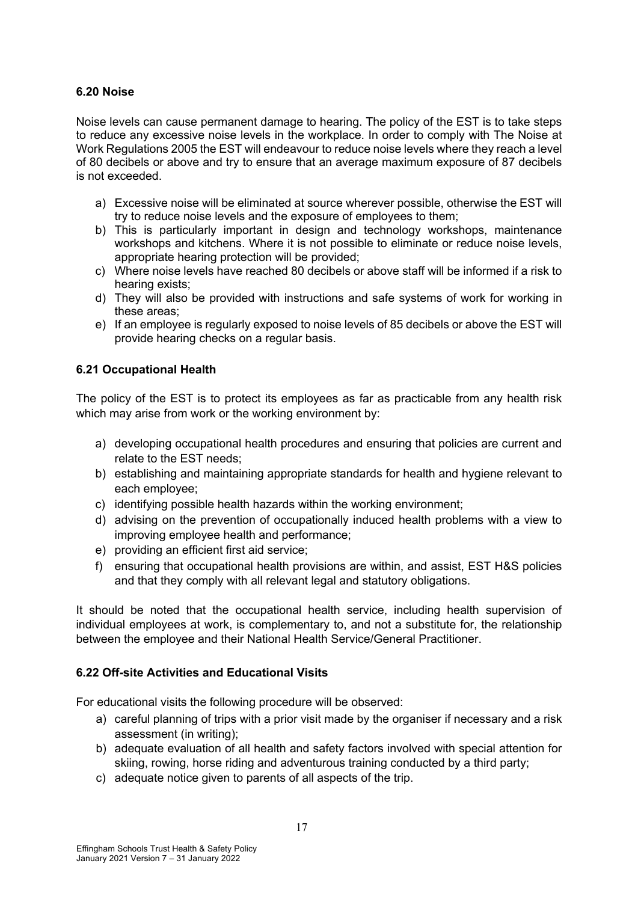#### **6.20 Noise**

Noise levels can cause permanent damage to hearing. The policy of the EST is to take steps to reduce any excessive noise levels in the workplace. In order to comply with The Noise at Work Regulations 2005 the EST will endeavour to reduce noise levels where they reach a level of 80 decibels or above and try to ensure that an average maximum exposure of 87 decibels is not exceeded.

- a) Excessive noise will be eliminated at source wherever possible, otherwise the EST will try to reduce noise levels and the exposure of employees to them;
- b) This is particularly important in design and technology workshops, maintenance workshops and kitchens. Where it is not possible to eliminate or reduce noise levels, appropriate hearing protection will be provided;
- c) Where noise levels have reached 80 decibels or above staff will be informed if a risk to hearing exists;
- d) They will also be provided with instructions and safe systems of work for working in these areas;
- e) If an employee is regularly exposed to noise levels of 85 decibels or above the EST will provide hearing checks on a regular basis.

# **6.21 Occupational Health**

The policy of the EST is to protect its employees as far as practicable from any health risk which may arise from work or the working environment by:

- a) developing occupational health procedures and ensuring that policies are current and relate to the EST needs;
- b) establishing and maintaining appropriate standards for health and hygiene relevant to each employee;
- c) identifying possible health hazards within the working environment;
- d) advising on the prevention of occupationally induced health problems with a view to improving employee health and performance;
- e) providing an efficient first aid service;
- f) ensuring that occupational health provisions are within, and assist, EST H&S policies and that they comply with all relevant legal and statutory obligations.

It should be noted that the occupational health service, including health supervision of individual employees at work, is complementary to, and not a substitute for, the relationship between the employee and their National Health Service/General Practitioner.

# **6.22 Off-site Activities and Educational Visits**

For educational visits the following procedure will be observed:

- a) careful planning of trips with a prior visit made by the organiser if necessary and a risk assessment (in writing);
- b) adequate evaluation of all health and safety factors involved with special attention for skiing, rowing, horse riding and adventurous training conducted by a third party;
- c) adequate notice given to parents of all aspects of the trip.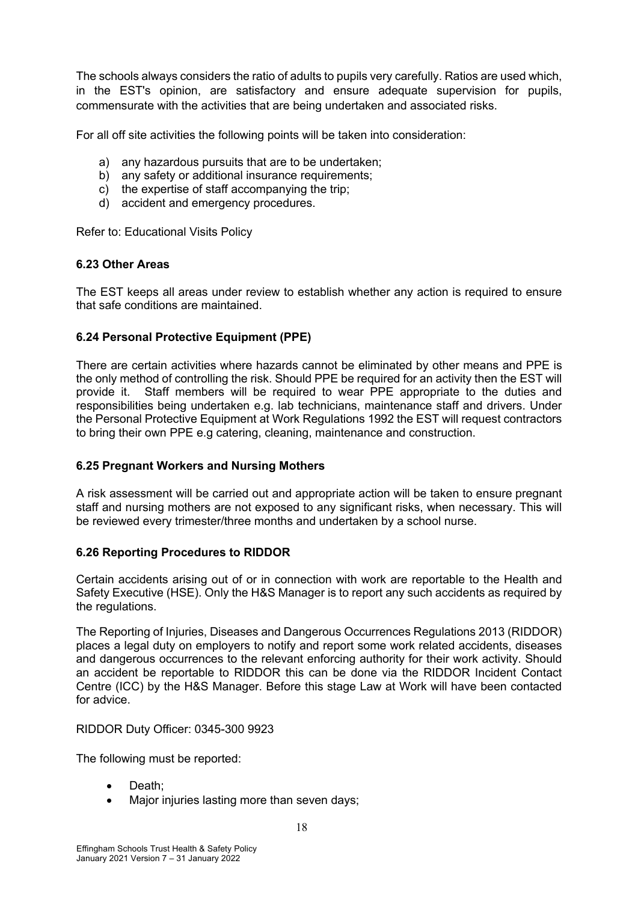The schools always considers the ratio of adults to pupils very carefully. Ratios are used which, in the EST's opinion, are satisfactory and ensure adequate supervision for pupils, commensurate with the activities that are being undertaken and associated risks.

For all off site activities the following points will be taken into consideration:

- a) any hazardous pursuits that are to be undertaken;
- b) any safety or additional insurance requirements;
- c) the expertise of staff accompanying the trip;
- d) accident and emergency procedures.

Refer to: Educational Visits Policy

# **6.23 Other Areas**

The EST keeps all areas under review to establish whether any action is required to ensure that safe conditions are maintained.

# **6.24 Personal Protective Equipment (PPE)**

There are certain activities where hazards cannot be eliminated by other means and PPE is the only method of controlling the risk. Should PPE be required for an activity then the EST will provide it. Staff members will be required to wear PPE appropriate to the duties and responsibilities being undertaken e.g. lab technicians, maintenance staff and drivers. Under the Personal Protective Equipment at Work Regulations 1992 the EST will request contractors to bring their own PPE e.g catering, cleaning, maintenance and construction.

# **6.25 Pregnant Workers and Nursing Mothers**

A risk assessment will be carried out and appropriate action will be taken to ensure pregnant staff and nursing mothers are not exposed to any significant risks, when necessary. This will be reviewed every trimester/three months and undertaken by a school nurse.

# **6.26 Reporting Procedures to RIDDOR**

Certain accidents arising out of or in connection with work are reportable to the Health and Safety Executive (HSE). Only the H&S Manager is to report any such accidents as required by the regulations.

The Reporting of Injuries, Diseases and Dangerous Occurrences Regulations 2013 (RIDDOR) places a legal duty on employers to notify and report some work related accidents, diseases and dangerous occurrences to the relevant enforcing authority for their work activity. Should an accident be reportable to RIDDOR this can be done via the RIDDOR Incident Contact Centre (ICC) by the H&S Manager. Before this stage Law at Work will have been contacted for advice.

RIDDOR Duty Officer: 0345-300 9923

The following must be reported:

- Death:
- Major injuries lasting more than seven days: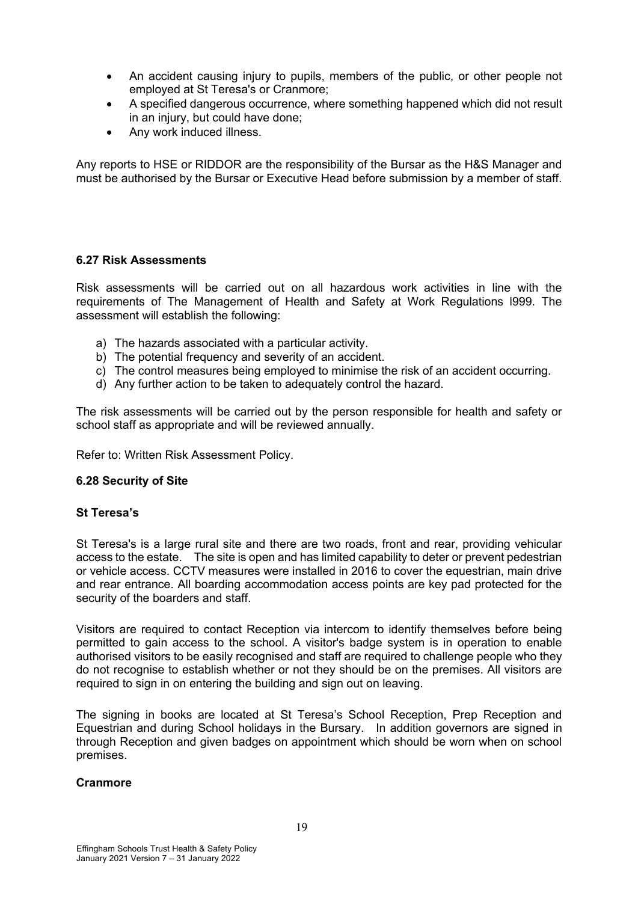- An accident causing injury to pupils, members of the public, or other people not employed at St Teresa's or Cranmore;
- A specified dangerous occurrence, where something happened which did not result in an injury, but could have done;
- Any work induced illness.

Any reports to HSE or RIDDOR are the responsibility of the Bursar as the H&S Manager and must be authorised by the Bursar or Executive Head before submission by a member of staff.

#### **6.27 Risk Assessments**

Risk assessments will be carried out on all hazardous work activities in line with the requirements of The Management of Health and Safety at Work Regulations l999. The assessment will establish the following:

- a) The hazards associated with a particular activity.
- b) The potential frequency and severity of an accident.
- c) The control measures being employed to minimise the risk of an accident occurring.
- d) Any further action to be taken to adequately control the hazard.

The risk assessments will be carried out by the person responsible for health and safety or school staff as appropriate and will be reviewed annually.

Refer to: Written Risk Assessment Policy.

#### **6.28 Security of Site**

#### **St Teresa's**

St Teresa's is a large rural site and there are two roads, front and rear, providing vehicular access to the estate. The site is open and has limited capability to deter or prevent pedestrian or vehicle access. CCTV measures were installed in 2016 to cover the equestrian, main drive and rear entrance. All boarding accommodation access points are key pad protected for the security of the boarders and staff.

Visitors are required to contact Reception via intercom to identify themselves before being permitted to gain access to the school. A visitor's badge system is in operation to enable authorised visitors to be easily recognised and staff are required to challenge people who they do not recognise to establish whether or not they should be on the premises. All visitors are required to sign in on entering the building and sign out on leaving.

The signing in books are located at St Teresa's School Reception, Prep Reception and Equestrian and during School holidays in the Bursary. In addition governors are signed in through Reception and given badges on appointment which should be worn when on school premises.

#### **Cranmore**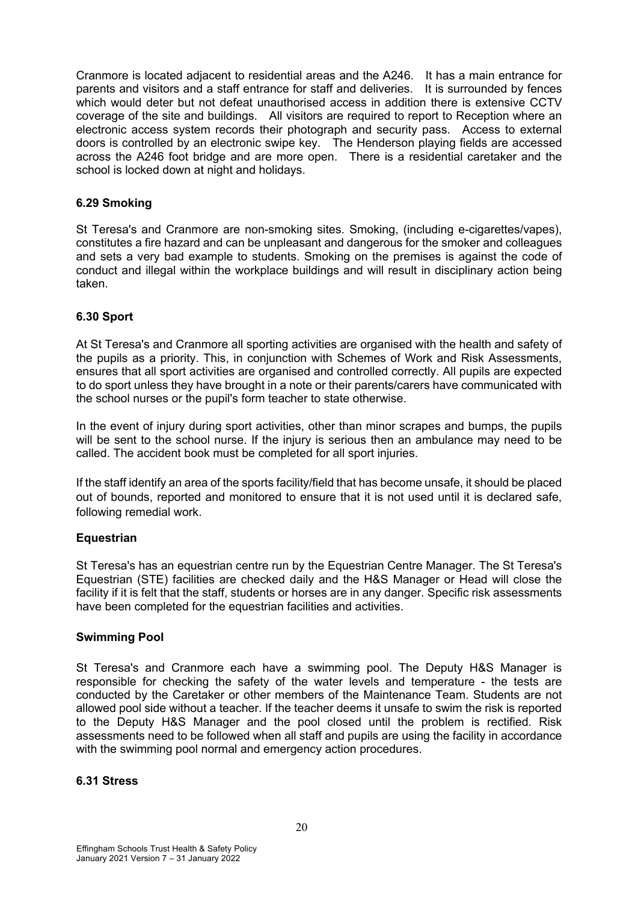Cranmore is located adjacent to residential areas and the A246. It has a main entrance for parents and visitors and a staff entrance for staff and deliveries. It is surrounded by fences which would deter but not defeat unauthorised access in addition there is extensive CCTV coverage of the site and buildings. All visitors are required to report to Reception where an electronic access system records their photograph and security pass. Access to external doors is controlled by an electronic swipe key. The Henderson playing fields are accessed across the A246 foot bridge and are more open. There is a residential caretaker and the school is locked down at night and holidays.

#### **6.29 Smoking**

St Teresa's and Cranmore are non-smoking sites. Smoking, (including e-cigarettes/vapes), constitutes a fire hazard and can be unpleasant and dangerous for the smoker and colleagues and sets a very bad example to students. Smoking on the premises is against the code of conduct and illegal within the workplace buildings and will result in disciplinary action being taken.

#### **6.30 Sport**

At St Teresa's and Cranmore all sporting activities are organised with the health and safety of the pupils as a priority. This, in conjunction with Schemes of Work and Risk Assessments, ensures that all sport activities are organised and controlled correctly. All pupils are expected to do sport unless they have brought in a note or their parents/carers have communicated with the school nurses or the pupil's form teacher to state otherwise.

In the event of injury during sport activities, other than minor scrapes and bumps, the pupils will be sent to the school nurse. If the injury is serious then an ambulance may need to be called. The accident book must be completed for all sport injuries.

If the staff identify an area of the sports facility/field that has become unsafe, it should be placed out of bounds, reported and monitored to ensure that it is not used until it is declared safe, following remedial work.

#### **Equestrian**

St Teresa's has an equestrian centre run by the Equestrian Centre Manager. The St Teresa's Equestrian (STE) facilities are checked daily and the H&S Manager or Head will close the facility if it is felt that the staff, students or horses are in any danger. Specific risk assessments have been completed for the equestrian facilities and activities.

#### **Swimming Pool**

St Teresa's and Cranmore each have a swimming pool. The Deputy H&S Manager is responsible for checking the safety of the water levels and temperature - the tests are conducted by the Caretaker or other members of the Maintenance Team. Students are not allowed pool side without a teacher. If the teacher deems it unsafe to swim the risk is reported to the Deputy H&S Manager and the pool closed until the problem is rectified. Risk assessments need to be followed when all staff and pupils are using the facility in accordance with the swimming pool normal and emergency action procedures.

#### **6.31 Stress**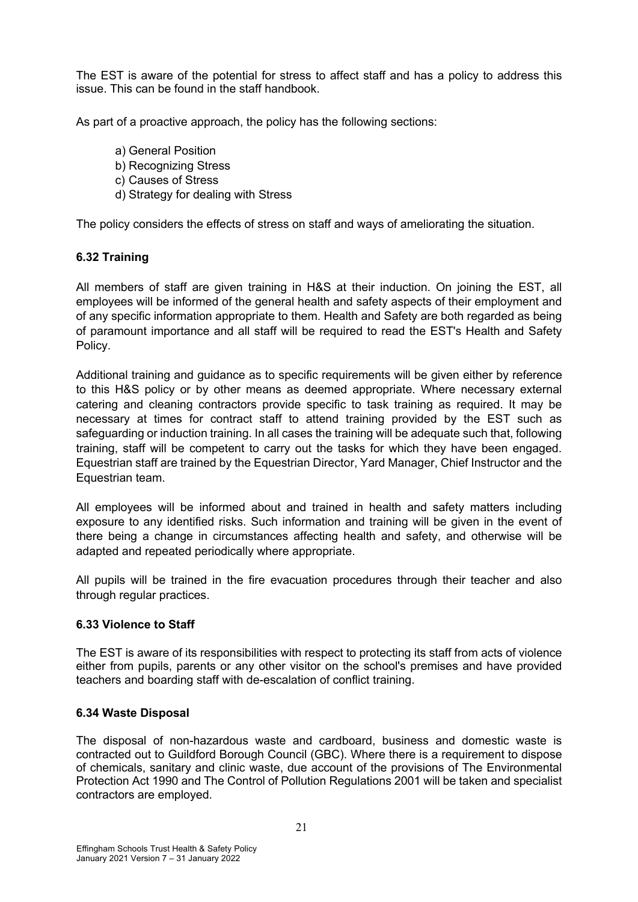The EST is aware of the potential for stress to affect staff and has a policy to address this issue. This can be found in the staff handbook.

As part of a proactive approach, the policy has the following sections:

- a) General Position
- b) Recognizing Stress
- c) Causes of Stress
- d) Strategy for dealing with Stress

The policy considers the effects of stress on staff and ways of ameliorating the situation.

# **6.32 Training**

All members of staff are given training in H&S at their induction. On joining the EST, all employees will be informed of the general health and safety aspects of their employment and of any specific information appropriate to them. Health and Safety are both regarded as being of paramount importance and all staff will be required to read the EST's Health and Safety Policy.

Additional training and guidance as to specific requirements will be given either by reference to this H&S policy or by other means as deemed appropriate. Where necessary external catering and cleaning contractors provide specific to task training as required. It may be necessary at times for contract staff to attend training provided by the EST such as safeguarding or induction training. In all cases the training will be adequate such that, following training, staff will be competent to carry out the tasks for which they have been engaged. Equestrian staff are trained by the Equestrian Director, Yard Manager, Chief Instructor and the Equestrian team.

All employees will be informed about and trained in health and safety matters including exposure to any identified risks. Such information and training will be given in the event of there being a change in circumstances affecting health and safety, and otherwise will be adapted and repeated periodically where appropriate.

All pupils will be trained in the fire evacuation procedures through their teacher and also through regular practices.

#### **6.33 Violence to Staff**

The EST is aware of its responsibilities with respect to protecting its staff from acts of violence either from pupils, parents or any other visitor on the school's premises and have provided teachers and boarding staff with de-escalation of conflict training.

#### **6.34 Waste Disposal**

The disposal of non-hazardous waste and cardboard, business and domestic waste is contracted out to Guildford Borough Council (GBC). Where there is a requirement to dispose of chemicals, sanitary and clinic waste, due account of the provisions of The Environmental Protection Act 1990 and The Control of Pollution Regulations 2001 will be taken and specialist contractors are employed.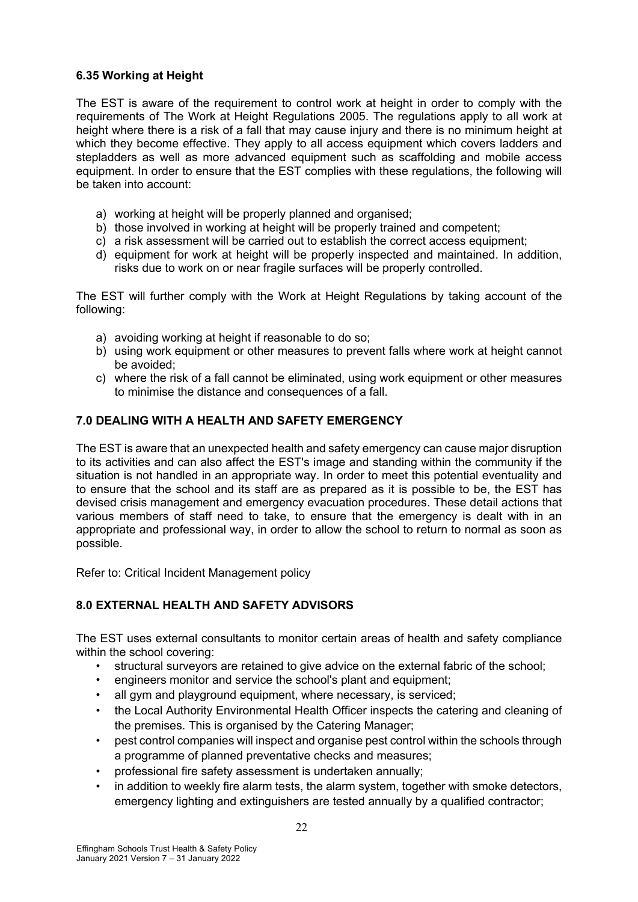# **6.35 Working at Height**

The EST is aware of the requirement to control work at height in order to comply with the requirements of The Work at Height Regulations 2005. The regulations apply to all work at height where there is a risk of a fall that may cause injury and there is no minimum height at which they become effective. They apply to all access equipment which covers ladders and stepladders as well as more advanced equipment such as scaffolding and mobile access equipment. In order to ensure that the EST complies with these regulations, the following will be taken into account:

- a) working at height will be properly planned and organised;
- b) those involved in working at height will be properly trained and competent;
- c) a risk assessment will be carried out to establish the correct access equipment;
- d) equipment for work at height will be properly inspected and maintained. In addition, risks due to work on or near fragile surfaces will be properly controlled.

The EST will further comply with the Work at Height Regulations by taking account of the following:

- a) avoiding working at height if reasonable to do so;
- b) using work equipment or other measures to prevent falls where work at height cannot be avoided;
- c) where the risk of a fall cannot be eliminated, using work equipment or other measures to minimise the distance and consequences of a fall.

# **7.0 DEALING WITH A HEALTH AND SAFETY EMERGENCY**

The EST is aware that an unexpected health and safety emergency can cause major disruption to its activities and can also affect the EST's image and standing within the community if the situation is not handled in an appropriate way. In order to meet this potential eventuality and to ensure that the school and its staff are as prepared as it is possible to be, the EST has devised crisis management and emergency evacuation procedures. These detail actions that various members of staff need to take, to ensure that the emergency is dealt with in an appropriate and professional way, in order to allow the school to return to normal as soon as possible.

Refer to: Critical Incident Management policy

# **8.0 EXTERNAL HEALTH AND SAFETY ADVISORS**

The EST uses external consultants to monitor certain areas of health and safety compliance within the school covering:

- structural surveyors are retained to give advice on the external fabric of the school;
- engineers monitor and service the school's plant and equipment;
- all gym and playground equipment, where necessary, is serviced;
- the Local Authority Environmental Health Officer inspects the catering and cleaning of the premises. This is organised by the Catering Manager;
- pest control companies will inspect and organise pest control within the schools through a programme of planned preventative checks and measures;
- professional fire safety assessment is undertaken annually;
- in addition to weekly fire alarm tests, the alarm system, together with smoke detectors, emergency lighting and extinguishers are tested annually by a qualified contractor;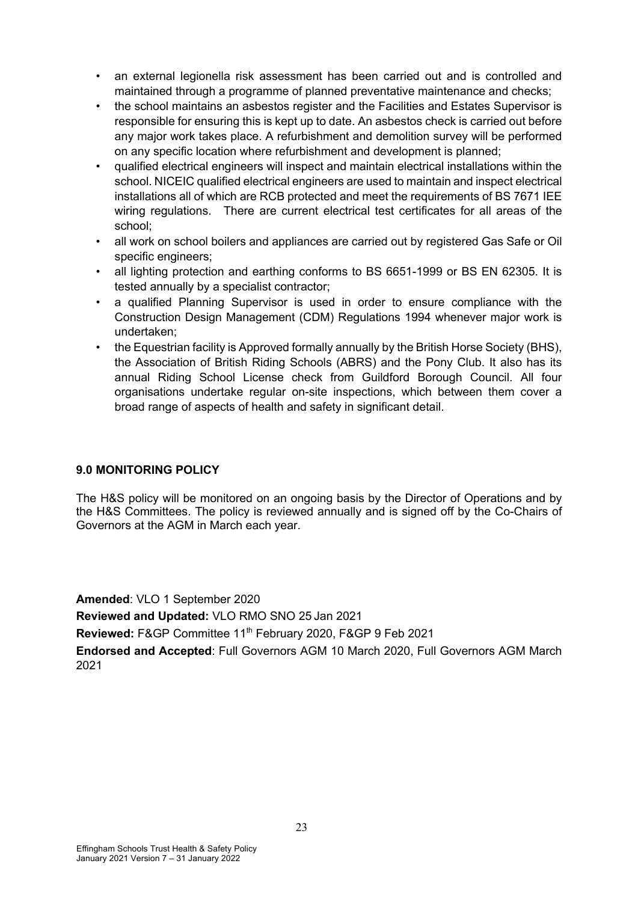- an external legionella risk assessment has been carried out and is controlled and maintained through a programme of planned preventative maintenance and checks;
- the school maintains an asbestos register and the Facilities and Estates Supervisor is responsible for ensuring this is kept up to date. An asbestos check is carried out before any major work takes place. A refurbishment and demolition survey will be performed on any specific location where refurbishment and development is planned;
- qualified electrical engineers will inspect and maintain electrical installations within the school. NICEIC qualified electrical engineers are used to maintain and inspect electrical installations all of which are RCB protected and meet the requirements of BS 7671 IEE wiring regulations. There are current electrical test certificates for all areas of the school;
- all work on school boilers and appliances are carried out by registered Gas Safe or Oil specific engineers:
- all lighting protection and earthing conforms to BS 6651-1999 or BS EN 62305. It is tested annually by a specialist contractor;
- a qualified Planning Supervisor is used in order to ensure compliance with the Construction Design Management (CDM) Regulations 1994 whenever major work is undertaken;
- the Equestrian facility is Approved formally annually by the British Horse Society (BHS), the Association of British Riding Schools (ABRS) and the Pony Club. It also has its annual Riding School License check from Guildford Borough Council. All four organisations undertake regular on-site inspections, which between them cover a broad range of aspects of health and safety in significant detail.

#### **9.0 MONITORING POLICY**

The H&S policy will be monitored on an ongoing basis by the Director of Operations and by the H&S Committees. The policy is reviewed annually and is signed off by the Co-Chairs of Governors at the AGM in March each year.

**Amended**: VLO 1 September 2020 **Reviewed and Updated:** VLO RMO SNO 25 Jan 2021 **Reviewed:** F&GP Committee 11th February 2020, F&GP 9 Feb 2021 **Endorsed and Accepted**: Full Governors AGM 10 March 2020, Full Governors AGM March 2021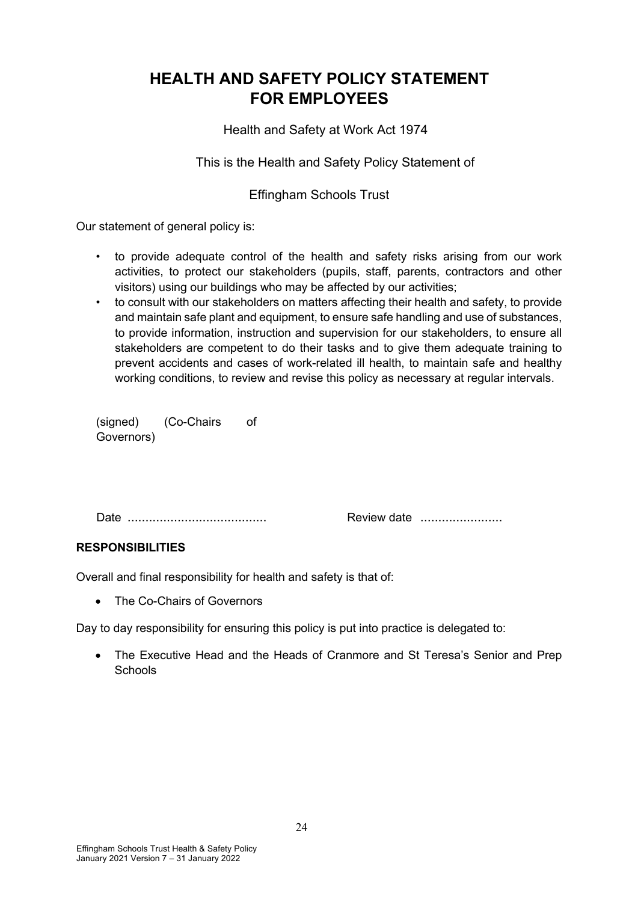# **HEALTH AND SAFETY POLICY STATEMENT FOR EMPLOYEES**

Health and Safety at Work Act 1974

This is the Health and Safety Policy Statement of

# Effingham Schools Trust

Our statement of general policy is:

- to provide adequate control of the health and safety risks arising from our work activities, to protect our stakeholders (pupils, staff, parents, contractors and other visitors) using our buildings who may be affected by our activities;
- to consult with our stakeholders on matters affecting their health and safety, to provide and maintain safe plant and equipment, to ensure safe handling and use of substances, to provide information, instruction and supervision for our stakeholders, to ensure all stakeholders are competent to do their tasks and to give them adequate training to prevent accidents and cases of work-related ill health, to maintain safe and healthy working conditions, to review and revise this policy as necessary at regular intervals.

(signed) (Co-Chairs of Governors)

Date ....................................... Review date .......................

# **RESPONSIBILITIES**

Overall and final responsibility for health and safety is that of:

• The Co-Chairs of Governors

Day to day responsibility for ensuring this policy is put into practice is delegated to:

• The Executive Head and the Heads of Cranmore and St Teresa's Senior and Prep **Schools**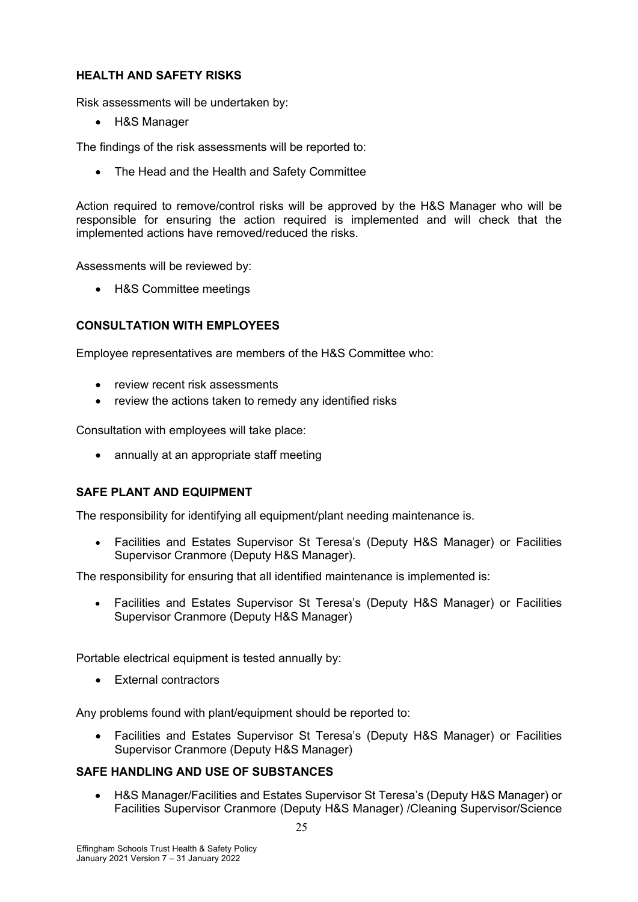# **HEALTH AND SAFETY RISKS**

Risk assessments will be undertaken by:

• H&S Manager

The findings of the risk assessments will be reported to:

• The Head and the Health and Safety Committee

Action required to remove/control risks will be approved by the H&S Manager who will be responsible for ensuring the action required is implemented and will check that the implemented actions have removed/reduced the risks.

Assessments will be reviewed by:

• H&S Committee meetings

# **CONSULTATION WITH EMPLOYEES**

Employee representatives are members of the H&S Committee who:

- review recent risk assessments
- review the actions taken to remedy any identified risks

Consultation with employees will take place:

• annually at an appropriate staff meeting

# **SAFE PLANT AND EQUIPMENT**

The responsibility for identifying all equipment/plant needing maintenance is.

• Facilities and Estates Supervisor St Teresa's (Deputy H&S Manager) or Facilities Supervisor Cranmore (Deputy H&S Manager).

The responsibility for ensuring that all identified maintenance is implemented is:

• Facilities and Estates Supervisor St Teresa's (Deputy H&S Manager) or Facilities Supervisor Cranmore (Deputy H&S Manager)

Portable electrical equipment is tested annually by:

• External contractors

Any problems found with plant/equipment should be reported to:

• Facilities and Estates Supervisor St Teresa's (Deputy H&S Manager) or Facilities Supervisor Cranmore (Deputy H&S Manager)

#### **SAFE HANDLING AND USE OF SUBSTANCES**

• H&S Manager/Facilities and Estates Supervisor St Teresa's (Deputy H&S Manager) or Facilities Supervisor Cranmore (Deputy H&S Manager) /Cleaning Supervisor/Science